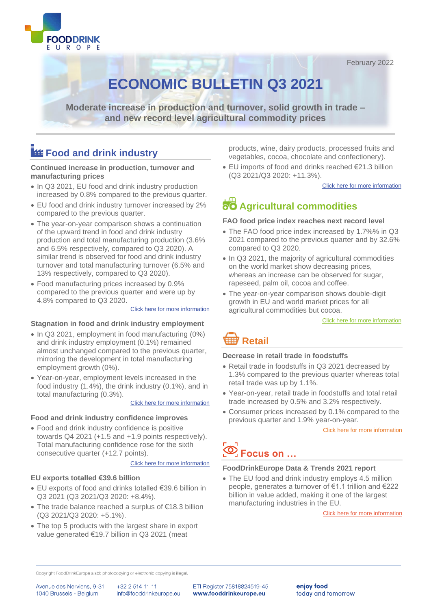



# **ECONOMIC BULLETIN Q3 2021**

**Moderate increase in production and turnover, solid growth in trade – and new record level agricultural commodity prices**

# **Food and drink industry**

**Continued increase in production, turnover and manufacturing prices** 

- In Q3 2021, EU food and drink industry production increased by 0.8% compared to the previous quarter.
- EU food and drink industry turnover increased by 2% compared to the previous quarter.
- The year-on-year comparison shows a continuation of the upward trend in food and drink industry production and total manufacturing production (3.6% and 6.5% respectively, compared to Q3 2020). A similar trend is observed for food and drink industry turnover and total manufacturing turnover (6.5% and 13% respectively, compared to Q3 2020).
- Food manufacturing prices increased by 0.9% compared to the previous quarter and were up by 4.8% compared to Q3 2020.

#### [Click here for more information](#page-2-0)

## **Stagnation in food and drink industry employment**

- In Q3 2021, employment in food manufacturing (0%) and drink industry employment (0.1%) remained almost unchanged compared to the previous quarter, mirroring the development in total manufacturing employment growth (0%).
- Year-on-year, employment levels increased in the food industry (1.4%), the drink industry (0.1%), and in total manufacturing (0.3%).

### [Click here for more information](#page-5-0)

### **Food and drink industry confidence improves**

• Food and drink industry confidence is positive towards Q4 2021 (+1.5 and +1.9 points respectively). Total manufacturing confidence rose for the sixth consecutive quarter (+12.7 points).

### [Click here for more information](#page-7-0)

### **EU exports totalled €39.6 billion**

- EU exports of food and drinks totalled €39.6 billion in Q3 2021 (Q3 2021/Q3 2020: +8.4%).
- The trade balance reached a surplus of €18.3 billion (Q3 2021/Q3 2020: +5.1%).
- The top 5 products with the largest share in export value generated €19.7 billion in Q3 2021 (meat

products, wine, dairy products, processed fruits and vegetables, cocoa, chocolate and confectionery).

• EU imports of food and drinks reached €21.3 billion (Q3 2021/Q3 2020: +11.3%).

[Click here for more information](#page-7-0)

# **Agricultural commodities**

#### **FAO food price index reaches next record level**

- The FAO food price index increased by 1.7%% in Q3 2021 compared to the previous quarter and by 32.6% compared to Q3 2020.
- In Q3 2021, the majority of agricultural commodities on the world market show decreasing prices, whereas an increase can be observed for sugar, rapeseed, palm oil, cocoa and coffee.
- The year-on-year comparison shows double-digit growth in EU and world market prices for all agricultural commodities but cocoa.

[Click here for more information](#page-10-0)

# **Retail**

#### **Decrease in retail trade in foodstuffs**

- Retail trade in foodstuffs in Q3 2021 decreased by 1.3% compared to the previous quarter whereas total retail trade was up by 1.1%.
- Year-on-year, retail trade in foodstuffs and total retail trade increased by 0.5% and 3.2% respectively.
- Consumer prices increased by 0.1% compared to the previous quarter and 1.9% year-on-year.

[Click here for more information](#page-11-0)

# **Focus on …**

#### **FoodDrinkEurope Data & Trends 2021 report**

• The EU food and drink industry employs 4.5 million people, generates a turnover of €1.1 trillion and €222 billion in value added, making it one of the largest manufacturing industries in the EU.

[Click here for more information](#page-13-0)

Copyright FoodDrinkEurope aisbl; photocopying or electronic copying is illegal.

Avenue des Nerviens, 9-31 1040 Brussels - Belaium

+32 2 514 11 11 info@fooddrinkeurope.eu ETI Register 75818824519-45 www.fooddrinkeurope.eu

enjoy food today and tomorrow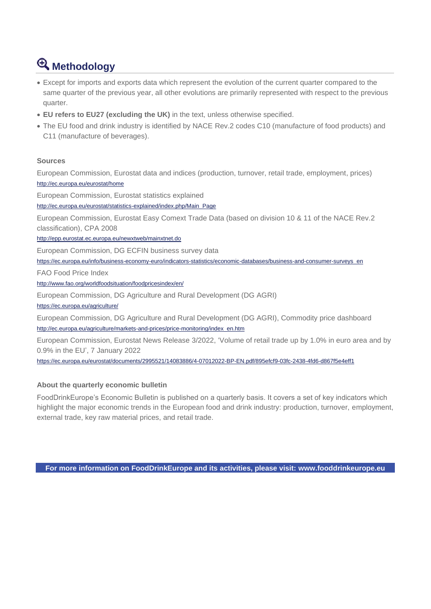# **Methodology**

- Except for imports and exports data which represent the evolution of the current quarter compared to the same quarter of the previous year, all other evolutions are primarily represented with respect to the previous quarter.
- **EU refers to EU27 (excluding the UK)** in the text, unless otherwise specified.
- The EU food and drink industry is identified by NACE Rev.2 codes C10 (manufacture of food products) and C11 (manufacture of beverages).

# **Sources**

European Commission, Eurostat data and indices (production, turnover, retail trade, employment, prices) <http://ec.europa.eu/eurostat/home>

European Commission, Eurostat statistics explained

[http://ec.europa.eu/eurostat/statistics-explained/index.php/Main\\_Page](http://ec.europa.eu/eurostat/statistics-explained/index.php/Main_Page)

European Commission, Eurostat Easy Comext Trade Data (based on division 10 & 11 of the NACE Rev.2 classification), CPA 2008

<http://epp.eurostat.ec.europa.eu/newxtweb/mainxtnet.do>

European Commission, DG ECFIN business survey data

[https://ec.europa.eu/info/business-economy-euro/indicators-statistics/economic-databases/business-and-consumer-surveys\\_en](https://ec.europa.eu/info/business-economy-euro/indicators-statistics/economic-databases/business-and-consumer-surveys_en)

FAO Food Price Index

<http://www.fao.org/worldfoodsituation/foodpricesindex/en/>

European Commission, DG Agriculture and Rural Development (DG AGRI)

<https://ec.europa.eu/agriculture/>

European Commission, DG Agriculture and Rural Development (DG AGRI), Commodity price dashboard [http://ec.europa.eu/agriculture/markets-and-prices/price-monitoring/index\\_en.htm](http://ec.europa.eu/agriculture/markets-and-prices/price-monitoring/index_en.htm)

European Commission, Eurostat News Release 3/2022, 'Volume of retail trade up by 1.0% in euro area and by 0.9% in the EU', 7 January 2022

<https://ec.europa.eu/eurostat/documents/2995521/14083886/4-07012022-BP-EN.pdf/895efcf9-03fc-2438-4fd6-d867f5e4eff1>

# **About the quarterly economic bulletin**

FoodDrinkEurope's Economic Bulletin is published on a quarterly basis. It covers a set of key indicators which highlight the major economic trends in the European food and drink industry: production, turnover, employment, external trade, key raw material prices, and retail trade.

**For more information on FoodDrinkEurope and its activities, please visit: [www.fooddrinkeurope.eu](http://www.fooddrinkeurope.eu/)**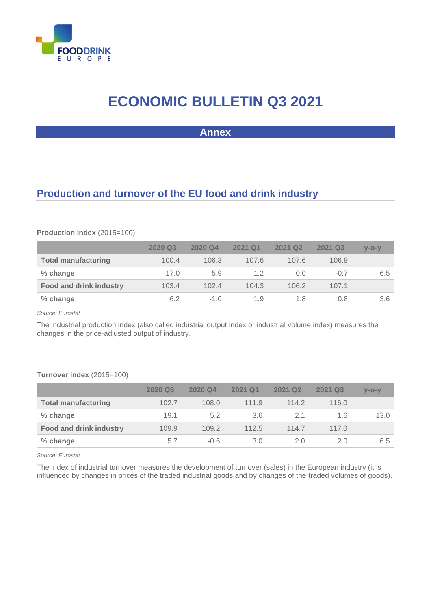

# **ECONOMIC BULLETIN Q3 2021**

**Annex**

# <span id="page-2-0"></span>**Production and turnover of the EU food and drink industry**

## **Production index** (2015=100)

|                                | 2020 Q3 | 2020 Q4 | 2021 Q1 | 2021 Q2 | 2021 Q3 | $V-O-V$ |
|--------------------------------|---------|---------|---------|---------|---------|---------|
| <b>Total manufacturing</b>     | 100.4   | 106.3   | 107.6   | 107.6   | 106.9   |         |
| % change                       | 17.0    | 5.9     | 1.2     | 0.0     | $-0.7$  | 6.5     |
| <b>Food and drink industry</b> | 103.4   | 102.4   | 104.3   | 106.2   | 107.1   |         |
| % change                       | 6.2     | $-1.0$  | 1.9     | 1.8     | 0.8     | 3.6     |

*Source: Eurostat*

The industrial production index (also called industrial output index or industrial volume index) measures the changes in the price-adjusted output of industry.

## **Turnover index** (2015=100)

|                                | 2020 Q3 | 2020 Q4 | 2021 Q1       | 2021 Q <sub>2</sub> | 2021 Q3 | $V - O - V$ |
|--------------------------------|---------|---------|---------------|---------------------|---------|-------------|
| <b>Total manufacturing</b>     | 102.7   | 108.0   | 111.9         | 114.2               | 116.0   |             |
| % change                       | 19.1    | 5.2     | 3.6           |                     | 1.6     | 13.0        |
| <b>Food and drink industry</b> | 109.9   | 109.2   | 112.5         | 114.7               | 117.0   |             |
| % change                       | 5.7     | $-0.6$  | $3.0^{\circ}$ | 2.0                 | 2.0     | 6.5         |

*Source: Eurostat*

The index of industrial turnover measures the development of turnover (sales) in the European industry (it is influenced by changes in prices of the traded industrial goods and by changes of the traded volumes of goods).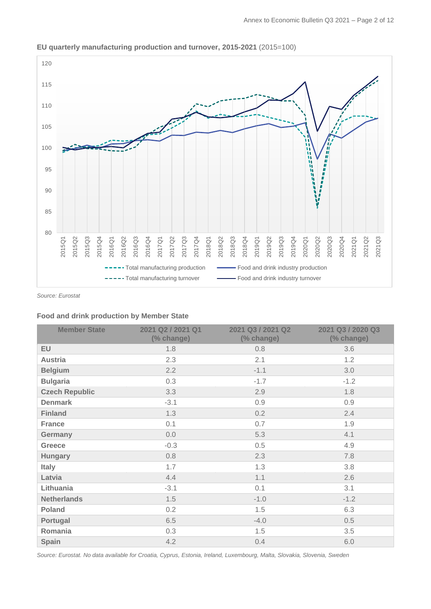

### **EU quarterly manufacturing production and turnover, 2015-2021** (2015=100)

*Source: Eurostat*

#### **Food and drink production by Member State**

| <b>Member State</b>   | 2021 Q2 / 2021 Q1<br>(% change) | 2021 Q3 / 2021 Q2<br>(% change) | 2021 Q3 / 2020 Q3<br>(% change) |
|-----------------------|---------------------------------|---------------------------------|---------------------------------|
| EU                    | 1.8                             | 0.8                             | 3.6                             |
| <b>Austria</b>        | 2.3                             | 2.1                             | 1.2                             |
| <b>Belgium</b>        | 2.2                             | $-1.1$                          | 3.0                             |
| <b>Bulgaria</b>       | 0.3                             | $-1.7$                          | $-1.2$                          |
| <b>Czech Republic</b> | 3.3                             | 2.9                             | 1.8                             |
| <b>Denmark</b>        | $-3.1$                          | 0.9                             | 0.9                             |
| <b>Finland</b>        | 1.3                             | 0.2                             | 2.4                             |
| <b>France</b>         | 0.1                             | 0.7                             | 1.9                             |
| Germany               | 0.0                             | 5.3                             | 4.1                             |
| <b>Greece</b>         | $-0.3$                          | 0.5                             | 4.9                             |
| <b>Hungary</b>        | 0.8                             | 2.3                             | 7.8                             |
| <b>Italy</b>          | 1.7                             | 1.3                             | 3.8                             |
| Latvia                | 4.4                             | 1.1                             | 2.6                             |
| Lithuania             | $-3.1$                          | 0.1                             | 3.1                             |
| <b>Netherlands</b>    | 1.5                             | $-1.0$                          | $-1.2$                          |
| <b>Poland</b>         | 0.2                             | 1.5                             | 6.3                             |
| Portugal              | 6.5                             | $-4.0$                          | 0.5                             |
| Romania               | 0.3                             | 1.5                             | 3.5                             |
| Spain                 | 4.2                             | 0.4                             | 6.0                             |
|                       |                                 |                                 |                                 |

*Source: Eurostat. No data available for Croatia, Cyprus, Estonia, Ireland, Luxembourg, Malta, Slovakia, Slovenia, Sweden*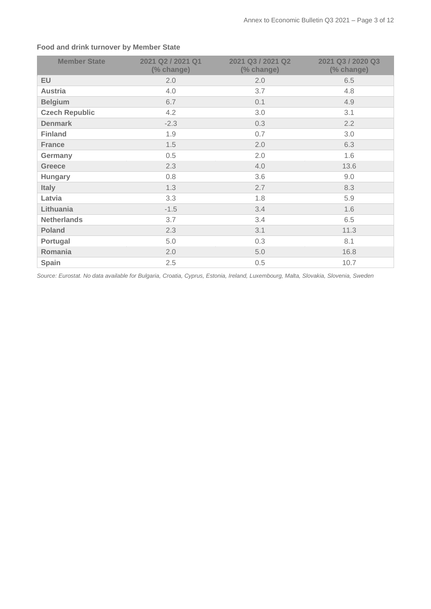| <b>Member State</b>   | 2021 Q2 / 2021 Q1<br>(% change) | 2021 Q3 / 2021 Q2<br>(% change) | 2021 Q3 / 2020 Q3<br>(% change) |
|-----------------------|---------------------------------|---------------------------------|---------------------------------|
| <b>EU</b>             | 2.0                             | 2.0                             | 6.5                             |
| <b>Austria</b>        | 4.0                             | 3.7                             | 4.8                             |
| <b>Belgium</b>        | 6.7                             | 0.1                             | 4.9                             |
| <b>Czech Republic</b> | 4.2                             | 3.0                             | 3.1                             |
| <b>Denmark</b>        | $-2.3$                          | 0.3                             | 2.2                             |
| <b>Finland</b>        | 1.9                             | 0.7                             | 3.0                             |
| <b>France</b>         | 1.5                             | 2.0                             | 6.3                             |
| Germany               | 0.5                             | 2.0                             | 1.6                             |
| <b>Greece</b>         | 2.3                             | 4.0                             | 13.6                            |
| <b>Hungary</b>        | 0.8                             | 3.6                             | 9.0                             |
| <b>Italy</b>          | 1.3                             | 2.7                             | 8.3                             |
| Latvia                | 3.3                             | 1.8                             | 5.9                             |
| Lithuania             | $-1.5$                          | 3.4                             | 1.6                             |
| <b>Netherlands</b>    | 3.7                             | 3.4                             | 6.5                             |
| <b>Poland</b>         | 2.3                             | 3.1                             | 11.3                            |
| Portugal              | 5.0                             | 0.3                             | 8.1                             |
| Romania               | 2.0                             | 5.0                             | 16.8                            |
| Spain                 | 2.5                             | 0.5                             | 10.7                            |

# **Food and drink turnover by Member State**

*Source: Eurostat. No data available for Bulgaria, Croatia, Cyprus, Estonia, Ireland, Luxembourg, Malta, Slovakia, Slovenia, Sweden*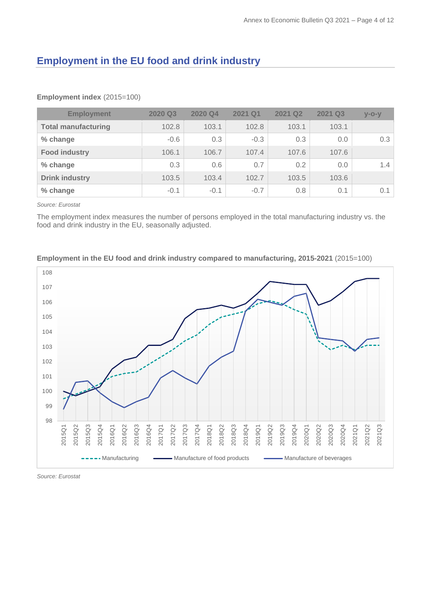# <span id="page-5-0"></span>**Employment in the EU food and drink industry**

| <b>Employment</b>          | 2020 Q3 | 2020 Q4 | 2021 Q1 | 2021 Q2 | 2021 Q3 | $V - O - V$ |
|----------------------------|---------|---------|---------|---------|---------|-------------|
| <b>Total manufacturing</b> | 102.8   | 103.1   | 102.8   | 103.1   | 103.1   |             |
| % change                   | $-0.6$  | 0.3     | $-0.3$  | 0.3     | 0.0     | 0.3         |
| <b>Food industry</b>       | 106.1   | 106.7   | 107.4   | 107.6   | 107.6   |             |
| % change                   | 0.3     | 0.6     | 0.7     | 0.2     | 0.0     | 1.4         |
| <b>Drink industry</b>      | 103.5   | 103.4   | 102.7   | 103.5   | 103.6   |             |
| % change                   | $-0.1$  | $-0.1$  | $-0.7$  | 0.8     | 0.1     | 0.1         |

#### **Employment index** (2015=100)

*Source: Eurostat*

The employment index measures the number of persons employed in the total manufacturing industry vs. the food and drink industry in the EU, seasonally adjusted.



## **Employment in the EU food and drink industry compared to manufacturing, 2015-2021** (2015=100)

*Source: Eurostat*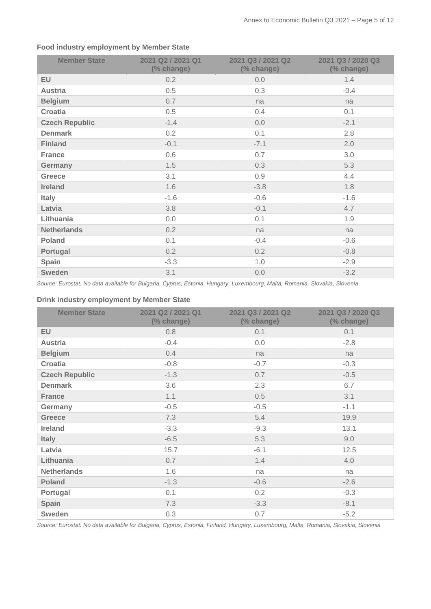| <b>Member State</b>   | 2021 Q2 / 2021 Q1<br>(% change) | 2021 Q3 / 2021 Q2<br>(% change) | 2021 Q3 / 2020 Q3<br>(% change) |
|-----------------------|---------------------------------|---------------------------------|---------------------------------|
| <b>EU</b>             | 0.2                             | 0.0                             | 1.4                             |
| <b>Austria</b>        | 0.5                             | 0.3                             | $-0.4$                          |
| <b>Belgium</b>        | 0.7                             | na                              | na                              |
| <b>Croatia</b>        | 0.5                             | 0.4                             | 0.1                             |
| <b>Czech Republic</b> | $-1.4$                          | 0.0                             | $-2.1$                          |
| <b>Denmark</b>        | 0.2                             | 0.1                             | 2.8                             |
| <b>Finland</b>        | $-0.1$                          | $-7.1$                          | 2.0                             |
| <b>France</b>         | 0.6                             | 0.7                             | 3.0                             |
| Germany               | 1.5                             | 0.3                             | 5.3                             |
| <b>Greece</b>         | 3.1                             | 0.9                             | 4.4                             |
| <b>Ireland</b>        | 1.6                             | $-3.8$                          | 1.8                             |
| <b>Italy</b>          | $-1.6$                          | $-0.6$                          | $-1.6$                          |
| Latvia                | 3.8                             | $-0.1$                          | 4.7                             |
| Lithuania             | 0.0                             | 0.1                             | 1.9                             |
| <b>Netherlands</b>    | 0.2                             | na                              | na                              |
| <b>Poland</b>         | 0.1                             | $-0.4$                          | $-0.6$                          |
| Portugal              | 0.2                             | 0.2                             | $-0.8$                          |
| Spain                 | $-3.3$                          | 1.0                             | $-2.9$                          |
| <b>Sweden</b>         | 3.1                             | 0.0                             | $-3.2$                          |

# **Food industry employment by Member State**

*Source: Eurostat. No data available for Bulgaria, Cyprus, Estonia, Hungary, Luxembourg, Malta, Romania, Slovakia, Slovenia*

# **Drink industry employment by Member State**

| <b>Member State</b>   | 2021 Q2 / 2021 Q1<br>(% change) | 2021 Q3 / 2021 Q2<br>(% change) | 2021 Q3 / 2020 Q3<br>(% change) |
|-----------------------|---------------------------------|---------------------------------|---------------------------------|
| <b>EU</b>             | 0.8                             | 0.1                             | 0.1                             |
| <b>Austria</b>        | $-0.4$                          | 0.0                             | $-2.8$                          |
| <b>Belgium</b>        | 0.4                             | na                              | na                              |
| Croatia               | $-0.8$                          | $-0.7$                          | $-0.3$                          |
| <b>Czech Republic</b> | $-1.3$                          | 0.7                             | $-0.5$                          |
| <b>Denmark</b>        | 3.6                             | 2.3                             | 6.7                             |
| <b>France</b>         | 1.1                             | 0.5                             | 3.1                             |
| Germany               | $-0.5$                          | $-0.5$                          | $-1.1$                          |
| <b>Greece</b>         | 7.3                             | 5.4                             | 19.9                            |
| <b>Ireland</b>        | $-3.3$                          | $-9.3$                          | 13.1                            |
| <b>Italy</b>          | $-6.5$                          | 5.3                             | 9.0                             |
| Latvia                | 15.7                            | $-6.1$                          | 12.5                            |
| Lithuania             | 0.7                             | 1.4                             | 4.0                             |
| <b>Netherlands</b>    | 1.6                             | na                              | na                              |
| <b>Poland</b>         | $-1.3$                          | $-0.6$                          | $-2.6$                          |
| Portugal              | 0.1                             | 0.2                             | $-0.3$                          |
| Spain                 | 7.3                             | $-3.3$                          | $-8.1$                          |
| <b>Sweden</b>         | 0.3                             | 0.7                             | $-5.2$                          |

*Source: Eurostat. No data available for Bulgaria, Cyprus, Estonia, Finland, Hungary, Luxembourg, Malta, Romania, Slovakia, Slovenia*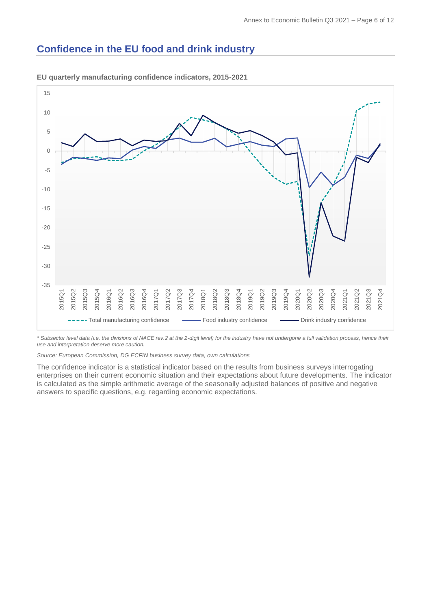# <span id="page-7-0"></span>**Confidence in the EU food and drink industry**



**EU quarterly manufacturing confidence indicators, 2015-2021**

*\* Subsector level data (i.e. the divisions of NACE rev.2 at the 2-digit level) for the industry have not undergone a full validation process, hence their use and interpretation deserve more caution.*

*Source: European Commission, DG ECFIN business survey data, own calculations*

The confidence indicator is a statistical indicator based on the results from business surveys interrogating enterprises on their current economic situation and their expectations about future developments. The indicator is calculated as the simple arithmetic average of the seasonally adjusted balances of positive and negative answers to specific questions, e.g. regarding economic expectations.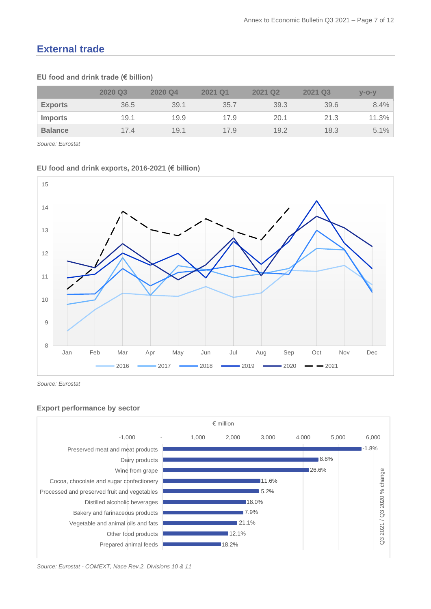# **External trade**

# **EU food and drink trade (€ billion)**

|                | 2020 Q3 | 2020 Q4 | 2021 Q1 | 2021 Q <sub>2</sub> | 2021 Q3 | $V - O - V$ |
|----------------|---------|---------|---------|---------------------|---------|-------------|
| <b>Exports</b> | 36.5    | 39.1    | 35.7    | 39.3                | 39.6    | 8.4%        |
| <b>Imports</b> | 19.1    | 19.9    | 17.9    | 20.1                | 21.3    | 11.3%       |
| <b>Balance</b> | 174     | 19.1    | 17.9    | 19.2                | 18.3    | $5.1\%$     |

*Source: Eurostat*

#### **EU food and drink exports, 2016-2021 (€ billion)**



*Source: Eurostat*

### **Export performance by sector**



*Source: Eurostat - COMEXT, Nace Rev.2, Divisions 10 & 11*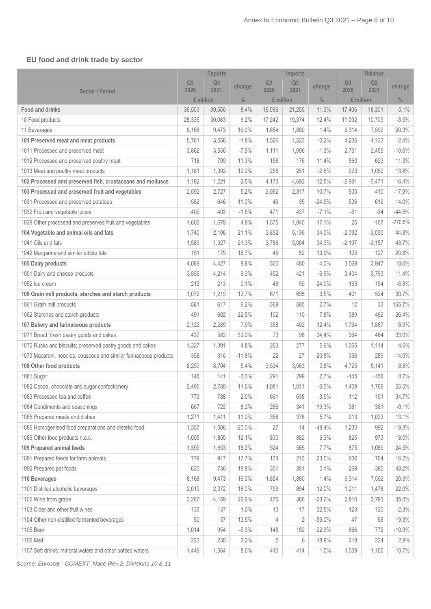# **EU food and drink trade by sector**

|                                                                   | <b>Exports</b> |                        | <b>Imports</b> |                        |                        | <b>Balance</b> |                        |                        |               |
|-------------------------------------------------------------------|----------------|------------------------|----------------|------------------------|------------------------|----------------|------------------------|------------------------|---------------|
| <b>Sector / Period</b>                                            | Q3<br>2020     | Q <sub>3</sub><br>2021 | change         | Q <sub>3</sub><br>2020 | Q <sub>3</sub><br>2021 | change         | Q <sub>3</sub><br>2020 | Q <sub>3</sub><br>2021 | change        |
|                                                                   |                | $\epsilon$ million     | $\frac{0}{0}$  | $$$ million            |                        | $\frac{0}{0}$  |                        | $\epsilon$ million     | $\frac{0}{0}$ |
| <b>Food and drinks</b>                                            | 36,503         | 39,556                 | 8.4%           | 19,096                 | 21,255                 | 11.3%          | 17,406                 | 18,301                 | 5.1%          |
| 10 Food products                                                  | 28,335         | 30,083                 | 6.2%           | 17,242                 | 19,374                 | 12.4%          | 11,092                 | 10,709                 | $-3.5%$       |
| 11 Beverages                                                      | 8,168          | 9,473                  | 16.0%          | 1,854                  | 1,880                  | 1.4%           | 6,314                  | 7,592                  | 20.3%         |
| 101 Preserved meat and meat products                              | 5,761          | 5,656                  | $-1.8%$        | 1,526                  | 1,523                  | $-0.2%$        | 4,235                  | 4,133                  | $-2.4%$       |
| 1011 Processed and preserved meat                                 | 3,862          | 3,556                  | $-7.9%$        | 1,111                  | 1,096                  | $-1.3%$        | 2,751                  | 2,459                  | $-10.6%$      |
| 1012 Processed and preserved poultry meat                         | 718            | 799                    | 11.3%          | 158                    | 176                    | 11.4%          | 560                    | 623                    | 11.3%         |
| 1013 Meat and poultry meat products                               | 1,181          | 1,302                  | 10.2%          | 258                    | 251                    | $-2.6%$        | 923                    | 1,050                  | 13.8%         |
| 102 Processed and preserved fish, crustaceans and molluscs        | 1,192          | 1,221                  | 2.5%           | 4,173                  | 4,692                  | 12.5%          | $-2,981$               | $-3,471$               | 16.4%         |
| 103 Processed and preserved fruit and vegetables                  | 2,592          | 2,727                  | 5.2%           | 2,092                  | 2,317                  | 10.7%          | 500                    | 410                    | $-17.9%$      |
| 1031 Processed and preserved potatoes                             | 582            | 646                    | 11.0%          | 46                     | 35                     | $-24.5%$       | 536                    | 612                    | 14.0%         |
| 1032 Fruit and vegetable juices                                   | 409            | 403                    | $-1.5%$        | 471                    | 437                    | $-7.1%$        | $-61$                  | $-34$                  | $-44.5%$      |
| 1039 Other processed and preserved fruit and vegetables           | 1,600          | 1,678                  | 4.8%           | 1,575                  | 1,845                  | 17.1%          | 25                     | $-167$                 | $-770.5%$     |
| 104 Vegetable and animal oils and fats                            | 1,740          | 2,106                  | 21.1%          | 3,832                  | 5,136                  | 34.0%          | $-2,092$               | $-3,030$               | 44.8%         |
| 1041 Oils and fats                                                | 1,589          | 1,927                  | 21.3%          | 3,786                  | 5,084                  | 34.3%          | $-2,197$               | $-3,157$               | 43.7%         |
| 1042 Margarine and similar edible fats                            | 151            | 179                    | 18.7%          | 45                     | 52                     | 13.9%          | 105                    | 127                    | 20.8%         |
| 105 Dairy products                                                | 4,069          | 4,427                  | 8.8%           | 500                    | 480                    | $-4.0%$        | 3,569                  | 3,947                  | 10.6%         |
| 1051 Dairy and cheese products                                    | 3,856          | 4,214                  | 9.3%           | 452                    | 421                    | $-6.9%$        | 3,404                  | 3,793                  | 11.4%         |
| 1052 Ice cream                                                    | 213            | 213                    | 0.1%           | 48                     | 59                     | 24.0%          | 165                    | 154                    | $-6.8%$       |
| 106 Grain mill products, starches and starch products             | 1,072          | 1,219                  | 13.7%          | 671                    | 695                    | 3.5%           | 401                    | 524                    | 30.7%         |
| 1061 Grain mill products                                          | 581            | 617                    | 6.2%           | 569                    | 585                    | 2.7%           | 12                     | 33                     | 165.7%        |
| 1062 Starches and starch products                                 | 491            | 602                    | 22.5%          | 102                    | 110                    | 7.8%           | 389                    | 492                    | 26.4%         |
| 107 Bakery and farinaceous products                               | 2,122          | 2,289                  | 7.9%           | 358                    | 402                    | 12.4%          | 1,764                  | 1,887                  | 6.9%          |
| 1071 Bread; fresh pastry goods and cakes                          | 437            | 582                    | 33.2%          | 73                     | 98                     | 34.4%          | 364                    | 484                    | 33.0%         |
| 1072 Rusks and biscuits; preserved pastry goods and cakes         | 1,327          | 1,391                  | 4.8%           | 263                    | 277                    | 5.6%           | 1,065                  | 1,114                  | 4.6%          |
| 1073 Macaroni, noodles, couscous and similar farinaceous products | 358            | 316                    | $-11.8%$       | 22                     | 27                     | 20.8%          | 336                    | 289                    | $-14.0%$      |
| 108 Other food products                                           | 8,259          | 8,704                  | 5.4%           | 3,534                  | 3,563                  | 0.8%           | 4,725                  | 5,141                  | 8.8%          |
| 1081 Sugar                                                        | 146            | 141                    | $-3.3%$        | 291                    | 299                    | 2.7%           | $-145$                 | $-158$                 | 8.7%          |
| 1082 Cocoa, chocolate and sugar confectionery                     | 2,490          | 2,780                  | 11.6%          | 1,081                  | 1,011                  | $-6.5%$        | 1,409                  | 1,769                  | 25.5%         |
| 1083 Processed tea and coffee                                     | 773            | 788                    | 2.0%           | 661                    | 638                    | $-3.5%$        | 112                    | 151                    | 34.7%         |
| 1084 Condiments and seasonings                                    | 667            | 722                    | 8.2%           | 286                    | 341                    | 19.3%          | 381                    | 381                    | $-0.1%$       |
| 1085 Prepared meals and dishes                                    | 1,271          | 1,411                  | 11.0%          | 358                    | 378                    | 5.7%           | 913                    | 1,033                  | 13.1%         |
| 1086 Homogenised food preparations and dietetic food              | 1,257          | 1,006                  | $-20.0\%$      | 27                     | 14                     | $-48.4%$       | 1,230                  | 992                    | $-19.3%$      |
| 1089 Other food products n.e.c.                                   | 1,655          | 1,855                  | 12.1%          | 830                    | 882                    | 6.3%           | 825                    | 973                    | 18.0%         |
| 109 Prepared animal feeds                                         | 1,399          | 1,653                  | 18.2%          | 524                    | 565                    | 7.7%           | 875                    | 1,089                  | 24.5%         |
| 1091 Prepared feeds for farm animals                              | 779            | 917                    | 17.7%          | 173                    | 213                    | 23.0%          | 606                    | 704                    | 16.2%         |
| 1092 Prepared pet foods                                           | 620            | 736                    | 18.8%          | 351                    | 351                    | 0.1%           | 269                    | 385                    | 43.2%         |
| 110 Beverages                                                     | 8,168          | 9,473                  | 16.0%          | 1,854                  | 1,880                  | 1.4%           | 6,314                  | 7,592                  | 20.3%         |
| 1101 Distilled alcoholic beverages                                | 2,010          | 2,372                  | 18.0%          | 799                    | 894                    | 12.0%          | 1,211                  | 1,478                  | 22.0%         |
| 1102 Wine from grape                                              | 3,287          | 4,159                  | 26.6%          | 476                    | 366                    | $-23.2%$       | 2,810                  | 3,793                  | 35.0%         |
| 1103 Cider and other fruit wines                                  | 135            | 137                    | 1.0%           | 13                     | 17                     | 32.5%          | 123                    | 120                    | $-2.3%$       |
| 1104 Other non-distilled fermented beverages                      | 50             | 57                     | 13.5%          | 4                      | 2                      | $-59.0%$       | 47                     | 56                     | 19.3%         |
| 1105 Beer                                                         | 1,014          | 954                    | $-5.9%$        | 148                    | 182                    | 22.9%          | 866                    | 772                    | $-10.9%$      |
| 1106 Malt                                                         | 223            | 230                    | 3.2%           | 5                      | 6                      | 18.9%          | 218                    | 224                    | 2.9%          |
| 1107 Soft drinks; mineral waters and other bottled waters         | 1,449          | 1,564                  | 8.0%           | 410                    | 414                    | 1.0%           | 1,039                  | 1,150                  | 10.7%         |

*Source: Eurostat - COMEXT, Nace Rev.2, Divisions 10 & 11*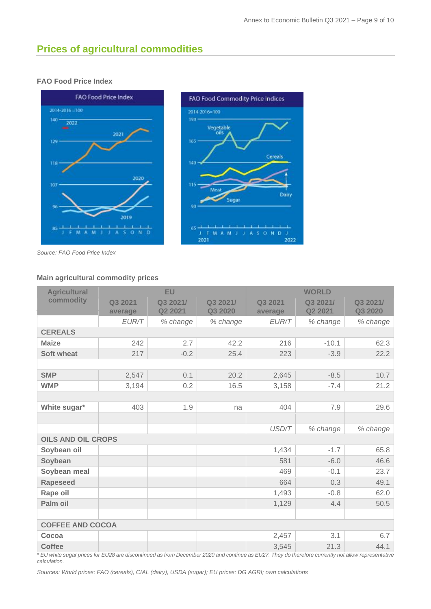# <span id="page-10-0"></span>**Prices of agricultural commodities**

# **FAO Food Price Index**



*Source: FAO Food Price Index*

### **Main agricultural commodity prices**

| <b>Agricultural</b>       |                    | <b>EU</b>           |                     |                    | <b>WORLD</b>        |                     |
|---------------------------|--------------------|---------------------|---------------------|--------------------|---------------------|---------------------|
| commodity                 | Q3 2021<br>average | Q3 2021/<br>Q2 2021 | Q3 2021/<br>Q3 2020 | Q3 2021<br>average | Q3 2021/<br>Q2 2021 | Q3 2021/<br>Q3 2020 |
|                           | EUR/T              | % change            | % change            | EUR/T              | % change            | % change            |
| <b>CEREALS</b>            |                    |                     |                     |                    |                     |                     |
| <b>Maize</b>              | 242                | 2.7                 | 42.2                | 216                | $-10.1$             | 62.3                |
| <b>Soft wheat</b>         | 217                | $-0.2$              | 25.4                | 223                | $-3.9$              | 22.2                |
|                           |                    |                     |                     |                    |                     |                     |
| <b>SMP</b>                | 2,547              | 0.1                 | 20.2                | 2,645              | $-8.5$              | 10.7                |
| <b>WMP</b>                | 3,194              | 0.2                 | 16.5                | 3,158              | $-7.4$              | 21.2                |
|                           |                    |                     |                     |                    |                     |                     |
| White sugar*              | 403                | 1.9                 | na                  | 404                | 7.9                 | 29.6                |
|                           |                    |                     |                     |                    |                     |                     |
|                           |                    |                     |                     | USD/T              | % change            | % change            |
| <b>OILS AND OIL CROPS</b> |                    |                     |                     |                    |                     |                     |
| Soybean oil               |                    |                     |                     | 1,434              | $-1.7$              | 65.8                |
| Soybean                   |                    |                     |                     | 581                | $-6.0$              | 46.6                |
| Soybean meal              |                    |                     |                     | 469                | $-0.1$              | 23.7                |
| <b>Rapeseed</b>           |                    |                     |                     | 664                | 0.3                 | 49.1                |
| Rape oil                  |                    |                     |                     | 1,493              | $-0.8$              | 62.0                |
| Palm oil                  |                    |                     |                     | 1,129              | 4.4                 | 50.5                |
|                           |                    |                     |                     |                    |                     |                     |
| <b>COFFEE AND COCOA</b>   |                    |                     |                     |                    |                     |                     |
| Cocoa                     |                    |                     |                     | 2,457              | 3.1                 | 6.7                 |
| <b>Coffee</b>             |                    |                     |                     | 3,545              | 21.3                | 44.1                |

*\* EU white sugar prices for EU28 are discontinued as from December 2020 and continue as EU27. They do therefore currently not allow representative calculation.*

*Sources: World prices: FAO (cereals), CIAL (dairy), USDA (sugar); EU prices: DG AGRI; own calculations*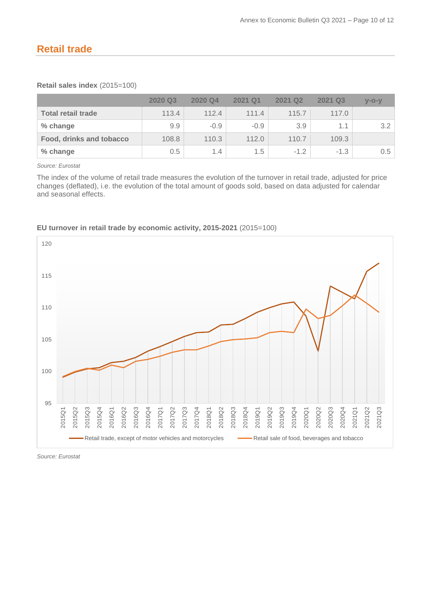# <span id="page-11-0"></span>**Retail trade**

## **Retail sales index** (2015=100)

|                           | 2020 Q3 | 2020 Q4 | 2021 Q1 | 2021 Q <sub>2</sub> | 2021 Q3 | $V-O-V$ |
|---------------------------|---------|---------|---------|---------------------|---------|---------|
| <b>Total retail trade</b> | 113.4   | 112.4   | 111.4   | 115.7               | 117.0   |         |
| % change                  | 9.9     | $-0.9$  | $-0.9$  | 3.9                 | 1.1     | 3.2     |
| Food, drinks and tobacco  | 108.8   | 110.3   | 112.0   | 110.7               | 109.3   |         |
| % change                  | 0.5     | 1.4     | 1.5     | $-1.2$              | $-1.3$  | 0.5     |

*Source: Eurostat*

The index of the volume of retail trade measures the evolution of the turnover in retail trade, adjusted for price changes (deflated), i.e. the evolution of the total amount of goods sold, based on data adjusted for calendar and seasonal effects.



### **EU turnover in retail trade by economic activity, 2015-2021** (2015=100)

*Source: Eurostat*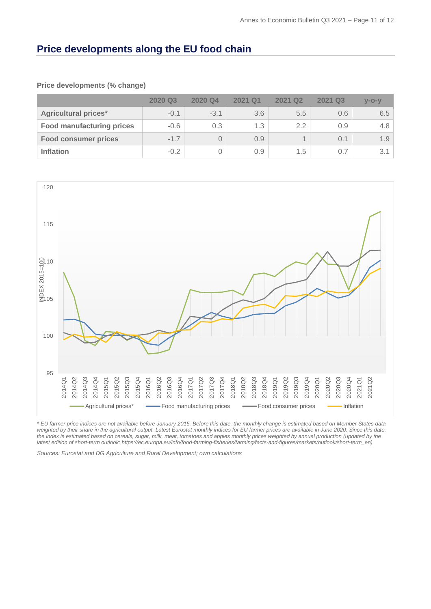# **Price developments along the EU food chain**

#### **Price developments (% change)**

|                                  | 2020 Q3 | 2020 Q4 | 2021 Q1 | <b>2021 Q2</b> | 2021 Q3 | $V-O-V$ |
|----------------------------------|---------|---------|---------|----------------|---------|---------|
| <b>Agricultural prices*</b>      | $-0.1$  | $-3.1$  | 3.6     | 5.5            | 0.6     | 6.5     |
| <b>Food manufacturing prices</b> | $-0.6$  | 0.3     | 1.3     | 2.2            | 0.9     | 4.8     |
| <b>Food consumer prices</b>      | $-1.7$  |         | 0.9     |                | 0.1     | 1.9     |
| <b>Inflation</b>                 | $-0.2$  |         | 0.9     | 1.5            | 0.7     | 3.1     |



*\* EU farmer price indices are not available before January 2015. Before this date, the monthly change is estimated based on Member States data*  weighted by their share in the agricultural output. Latest Eurostat monthly indices for EU farmer prices are available in June 2020. Since this date, the index is estimated based on cereals, sugar, milk, meat, tomatoes and apples monthly prices weighted by annual production (updated by the *latest edition of short-term outlook: https://ec.europa.eu/info/food-farming-fisheries/farming/facts-and-figures/markets/outlook/short-term\_en).* 

*Sources: Eurostat and DG Agriculture and Rural Development; own calculations*